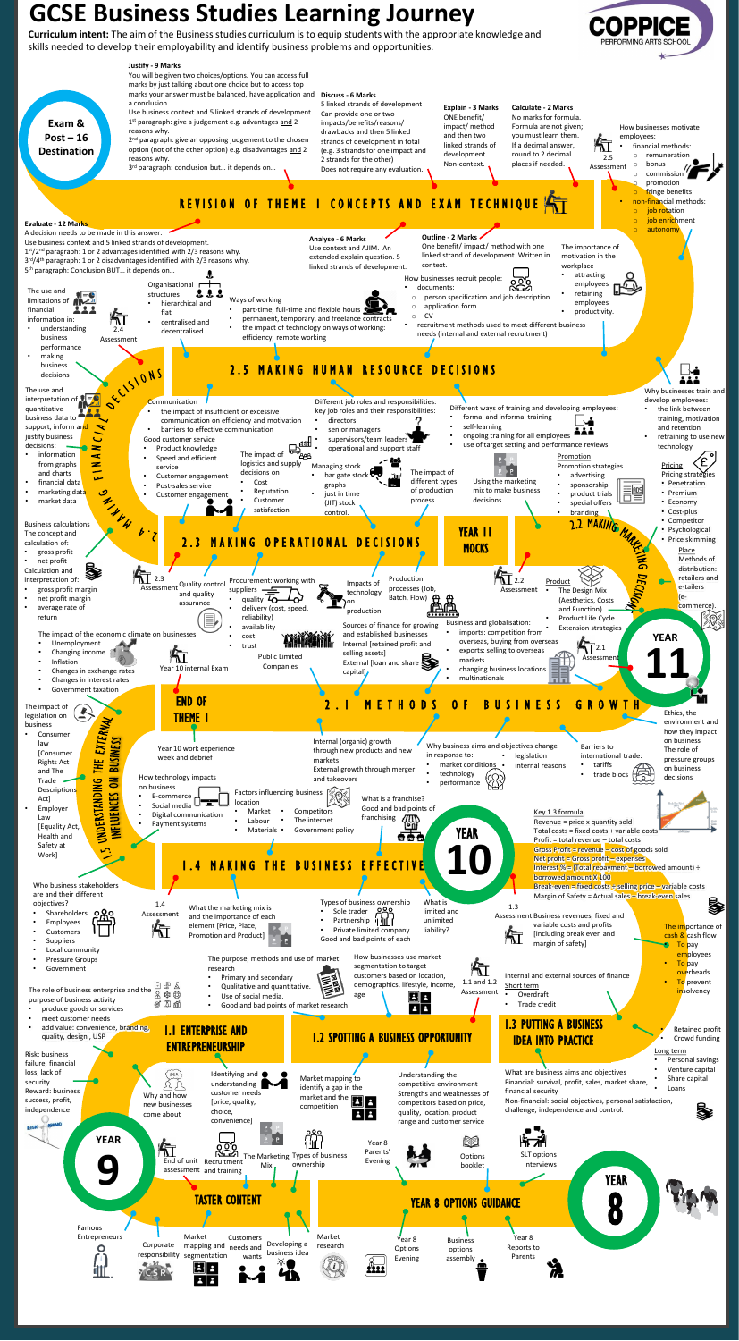**Curriculum intent:** The aim of the Business studies curriculum is to equip students with the appropriate knowledge and skills needed to develop their employability and identify business problems and opportunities.

)PPICE

## **GCSE Business Studies Learning Journey**

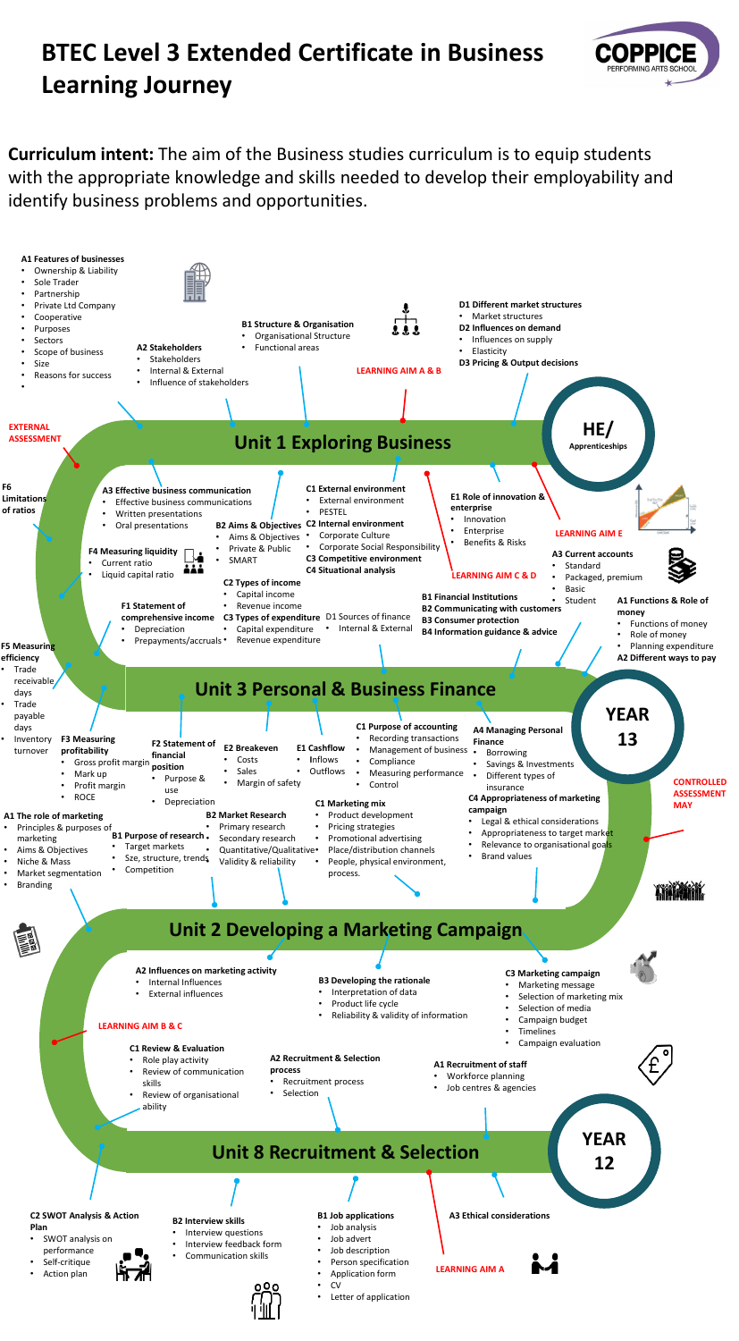# **BTEC Level 3 Extended Certificate in Business Learning Journey**



**Curriculum intent:** The aim of the Business studies curriculum is to equip students with the appropriate knowledge and skills needed to develop their employability and identify business problems and opportunities.

- Application form
- CV
	- Letter of application

### **A3 Ethical considerations B1 Job applications A3 Ethical considerations**

**B1 Job applications** • Job analysis • Job advert



**Branding** 

### **Unit 8 Recruitment & Selection**

### **Unit 2 Developing a Marketing Campaign**

- Workforce planning
- Job centres & agencies

- Interview questions
- Interview feedback form
- Communication skills
- Job description • Person specification
- Marketing message
- Selection of marketing mix

- Selection of media
- Campaign budget
- **Timelines**
- Campaign evaluation

#### **A1 Recruitment of staff**

**A2 Recruitment & Selection** 

Recruitment process

**process** 

**Selection** 

### **C1 Review & Evaluation**

- Role play activity
- Review of communication skills
- Review of organisational ability

### **C2 SWOT Analysis & Action**

#### **Plan**

- SWOT analysis on performance
- Self-critique
- Action plan

#### **LEARNING AIM B & C**

**LEARNING AIM A**



### **A2 Influences on marketing activity**



- Internal Influences
- External influences

### **B3 Developing the rationale**

- Interpretation of data
- Product life cycle
- Reliability & validity of information

process.

### **C3 Marketing campaign**

**YEAR** 

**12**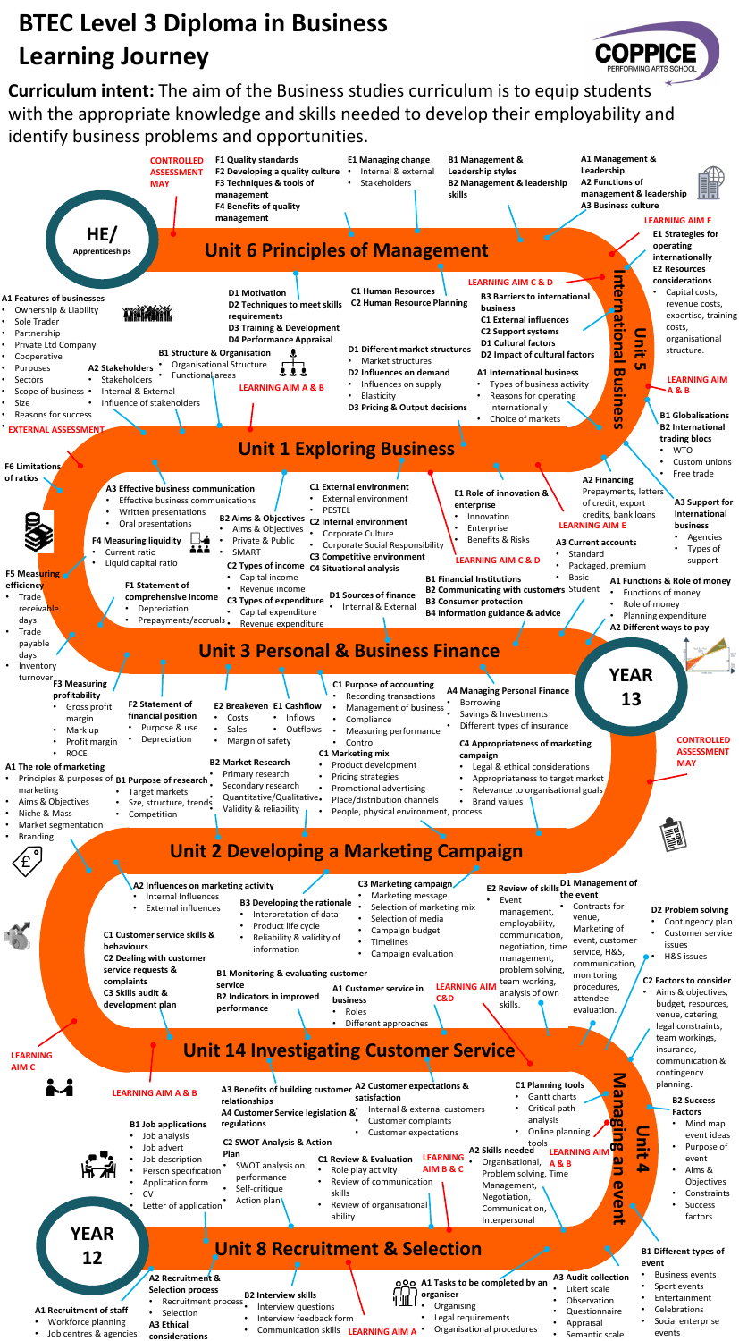## **Unit 2 Developing a Marketing Campaign**

## **BTEC Level 3 Diploma in Business Learning Journey**

**Curriculum intent:** The aim of the Business studies curriculum is to equip students with the appropriate knowledge and skills needed to develop their employability and identify business problems and opportunities.

COPPICE

| <b>LEARNING</b>                                | D1 Management of<br>C3 Marketing campaign<br>A2 Influences on marketing activity<br>E2 Review of skills the event<br>Marketing message<br>Internal Influences<br>Event<br>$\bullet$<br><b>B3 Developing the rationale</b><br>Contracts for<br>Selection of marketing mix<br><b>External influences</b><br>management,<br>Interpretation of data<br>venue,<br>Selection of media<br>employability,<br>Product life cycle<br>Marketing of<br>Campaign budget<br>C1 Customer service skills &<br>communication,<br>Reliability & validity of<br>event, customer<br>Timelines<br><b>behaviours</b><br>negotiation, time<br>information<br>service, H&S,<br>Campaign evaluation<br><b>C2 Dealing with customer</b><br>management,<br>communication,<br>service requests &<br>problem solving,<br><b>B1 Monitoring &amp; evaluating customer</b><br>monitoring<br>complaints<br>team working,<br>service<br><b>LEARNING AIM</b><br>procedures,<br>A1 Customer service in<br>C3 Skills audit &<br>analysis of own<br><b>B2 Indicators in improved</b><br><b>C&amp;D</b><br>attendee<br>business<br>development plan<br>skills.<br>performance<br>evaluation.<br>Roles<br>$\bullet$<br>Different approaches<br>$\bullet$<br><b>Unit 14 Investigating Customer Service</b> | D2 Problem solving<br>• Contingency plan<br>Customer service<br>issues<br>H&S issues<br><b>C2 Factors to consider</b><br>Aims & objectives,<br>budget, resources,<br>venue, catering,<br>legal constraints,<br>team workings,<br>insurance,<br>communication & |
|------------------------------------------------|-------------------------------------------------------------------------------------------------------------------------------------------------------------------------------------------------------------------------------------------------------------------------------------------------------------------------------------------------------------------------------------------------------------------------------------------------------------------------------------------------------------------------------------------------------------------------------------------------------------------------------------------------------------------------------------------------------------------------------------------------------------------------------------------------------------------------------------------------------------------------------------------------------------------------------------------------------------------------------------------------------------------------------------------------------------------------------------------------------------------------------------------------------------------------------------------------------------------------------------------------------------------|----------------------------------------------------------------------------------------------------------------------------------------------------------------------------------------------------------------------------------------------------------------|
| AIM <sub>C</sub><br><b>YEAR</b>                | <u>Z</u><br><b>C1 Planning tools</b><br>A2 Customer expectations &<br>A3 Benefits of building customer<br><b>LEARNING AIM A &amp; B</b><br>$\boldsymbol{\omega}$<br>Gantt charts<br>satisfaction<br>relationships<br>$\overline{\mathbf{g}}$<br>Critical path<br>Internal & external customers<br>A4 Customer Service legislation &*<br>analysis<br>Customer complaints<br><b>gg</b><br><b>B1 Job applications</b><br>regulations<br>Online planning<br><b>Customer expectations</b><br>Job analysis<br>hit.<br><b>C2 SWOT Analysis &amp; Action</b><br>tools<br>Job advert<br>A2 Skills needed<br><b>LEARNING AIN</b><br>Plan<br><b>LEARNING</b><br>Job description<br><b>C1 Review &amp; Evaluation</b><br>Organisational, A&B<br>SWOT analysis on<br>A<br>AIM B & C<br>Person specification<br>Role play activity<br>Problem solving, Time<br>performance<br>Review of communication<br>Application form<br><b>D</b><br>Management,<br>Self-critique<br>Š<br><b>CV</b><br>skills<br>Negotiation,<br>Action plan<br>$\ddot{\mathbf{D}}$<br>Review of organisational<br>Letter of application<br>Communication,<br>Ś<br>ability<br>Interpersonal<br>$\rightarrow$                                                                                                | contingency<br>planning.<br><b>B2 Success</b><br><b>Factors</b><br>Mind map<br>$\bullet$<br>event ideas<br>Purpose of<br>$\bullet$<br>event<br>• Aims $\&$<br>Objectives<br>Constraints<br>Success<br>factors                                                  |
| 12<br>A1 Recruitment of staff                  | <b>Unit 8 Recruitment &amp; Selection</b><br>event<br><b>A3 Audit collection</b><br>A2 Recruitment &<br>000 A1 Tasks to be completed by an<br>Likert scale<br><b>Selection process</b><br>organiser<br><b>B2 Interview skills</b><br>Observation<br>Recruitment process<br>Organising<br>Interview questions<br>Questionnaire                                                                                                                                                                                                                                                                                                                                                                                                                                                                                                                                                                                                                                                                                                                                                                                                                                                                                                                                     | <b>B1 Different types of</b><br><b>Business events</b><br>Sport events<br>Entertainment<br>Celebrations                                                                                                                                                        |
| Workforce planning<br>• Job centres & agencies | Selection<br>Legal requirements<br>Interview feedback form<br>Appraisal<br><b>A3 Ethical</b><br>Organisational procedures<br><b>Communication skills</b><br><b>LEARNING AIM A</b><br>• Semantic scale<br>considerations                                                                                                                                                                                                                                                                                                                                                                                                                                                                                                                                                                                                                                                                                                                                                                                                                                                                                                                                                                                                                                           | Social enterprise<br>events                                                                                                                                                                                                                                    |